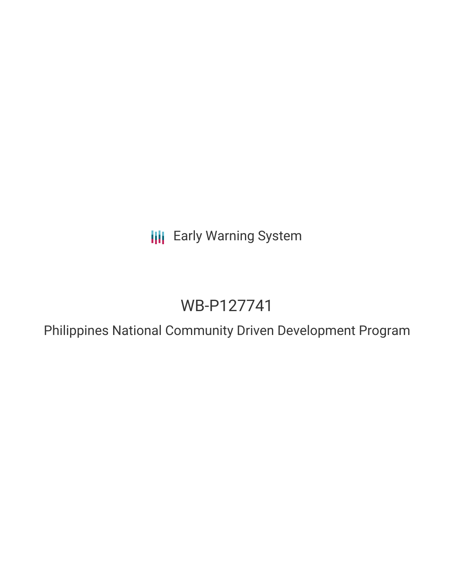**III** Early Warning System

# WB-P127741

Philippines National Community Driven Development Program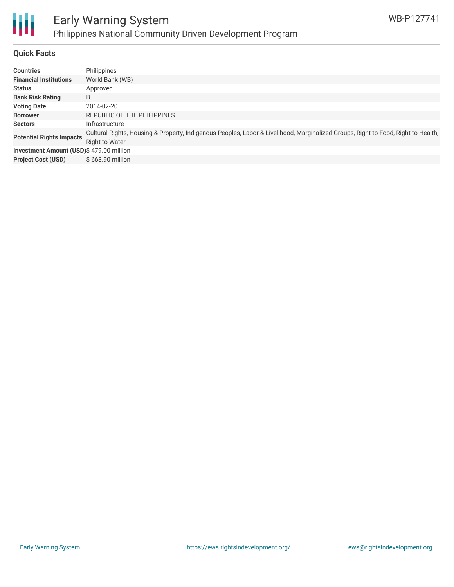

#### **Quick Facts**

| <b>Countries</b>                         | Philippines                                                                                                                                         |
|------------------------------------------|-----------------------------------------------------------------------------------------------------------------------------------------------------|
| <b>Financial Institutions</b>            | World Bank (WB)                                                                                                                                     |
| <b>Status</b>                            | Approved                                                                                                                                            |
| <b>Bank Risk Rating</b>                  | B                                                                                                                                                   |
| <b>Voting Date</b>                       | 2014-02-20                                                                                                                                          |
| <b>Borrower</b>                          | REPUBLIC OF THE PHILIPPINES                                                                                                                         |
| <b>Sectors</b>                           | Infrastructure                                                                                                                                      |
| <b>Potential Rights Impacts</b>          | Cultural Rights, Housing & Property, Indigenous Peoples, Labor & Livelihood, Marginalized Groups, Right to Food, Right to Health,<br>Right to Water |
| Investment Amount (USD)\$ 479.00 million |                                                                                                                                                     |
| <b>Project Cost (USD)</b>                | \$663.90 million                                                                                                                                    |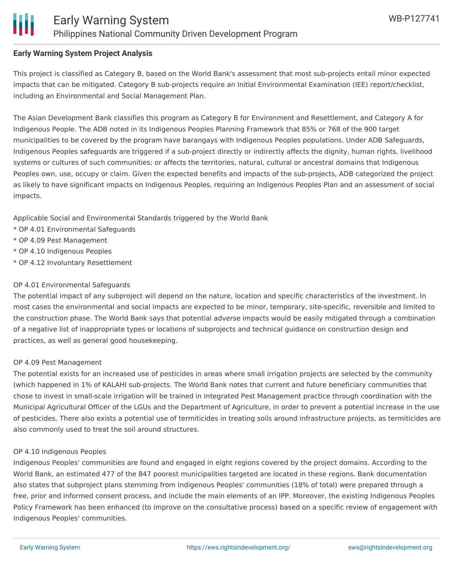#### **Early Warning System Project Analysis**

This project is classified as Category B, based on the World Bank's assessment that most sub-projects entail minor expected impacts that can be mitigated. Category B sub-projects require an Initial Environmental Examination (IEE) report/checklist, including an Environmental and Social Management Plan.

The Asian Development Bank classifies this program as Category B for Environment and Resettlement, and Category A for Indigenous People. The ADB noted in its Indigenous Peoples Planning Framework that 85% or 768 of the 900 target municipalities to be covered by the program have barangays with Indigenous Peoples populations. Under ADB Safeguards, Indigenous Peoples safeguards are triggered if a sub-project directly or indirectly affects the dignity, human rights, livelihood systems or cultures of such communities; or affects the territories, natural, cultural or ancestral domains that Indigenous Peoples own, use, occupy or claim. Given the expected benefits and impacts of the sub-projects, ADB categorized the project as likely to have significant impacts on Indigenous Peoples, requiring an Indigenous Peoples Plan and an assessment of social impacts.

Applicable Social and Environmental Standards triggered by the World Bank

- \* OP 4.01 Environmental Safeguards
- \* OP 4.09 Pest Management
- \* OP 4.10 Indigenous Peoples
- \* OP 4.12 Involuntary Resettlement

#### OP 4.01 Environmental Safeguards

The potential impact of any subproject will depend on the nature, location and specific characteristics of the investment. In most cases the environmental and social impacts are expected to be minor, temporary, site-specific, reversible and limited to the construction phase. The World Bank says that potential adverse impacts would be easily mitigated through a combination of a negative list of inappropriate types or locations of subprojects and technical guidance on construction design and practices, as well as general good housekeeping.

#### OP 4.09 Pest Management

The potential exists for an increased use of pesticides in areas where small irrigation projects are selected by the community (which happened in 1% of KALAHI sub-projects. The World Bank notes that current and future beneficiary communities that chose to invest in small-scale irrigation will be trained in Integrated Pest Management practice through coordination with the Municipal Agricultural Officer of the LGUs and the Department of Agriculture, in order to prevent a potential increase in the use of pesticides. There also exists a potential use of termiticides in treating soils around infrastructure projects, as termiticides are also commonly used to treat the soil around structures.

#### OP 4.10 Indigenous Peoples

Indigenous Peoples' communities are found and engaged in eight regions covered by the project domains. According to the World Bank, an estimated 477 of the 847 poorest municipalities targeted are located in these regions. Bank documentation also states that subproject plans stemming from Indigenous Peoples' communities (18% of total) were prepared through a free, prior and informed consent process, and include the main elements of an IPP. Moreover, the existing Indigenous Peoples Policy Framework has been enhanced (to improve on the consultative process) based on a specific review of engagement with Indigenous Peoples' communities.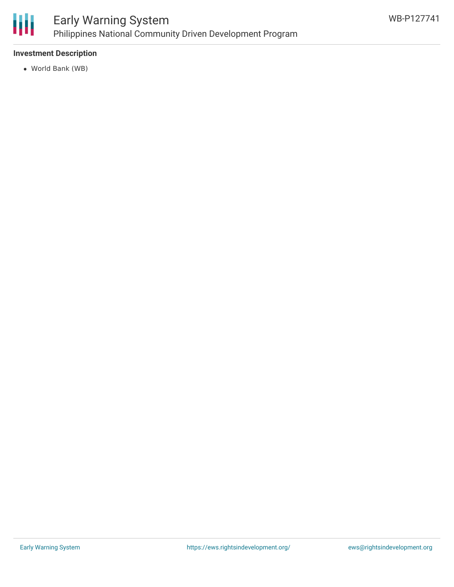

### **Investment Description**

World Bank (WB)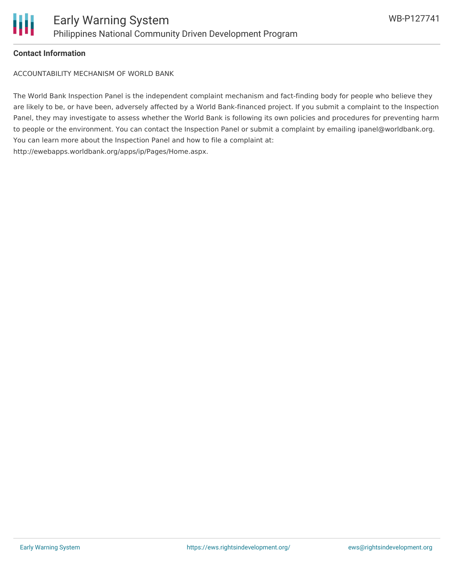

#### **Contact Information**

ACCOUNTABILITY MECHANISM OF WORLD BANK

The World Bank Inspection Panel is the independent complaint mechanism and fact-finding body for people who believe they are likely to be, or have been, adversely affected by a World Bank-financed project. If you submit a complaint to the Inspection Panel, they may investigate to assess whether the World Bank is following its own policies and procedures for preventing harm to people or the environment. You can contact the Inspection Panel or submit a complaint by emailing ipanel@worldbank.org. You can learn more about the Inspection Panel and how to file a complaint at: http://ewebapps.worldbank.org/apps/ip/Pages/Home.aspx.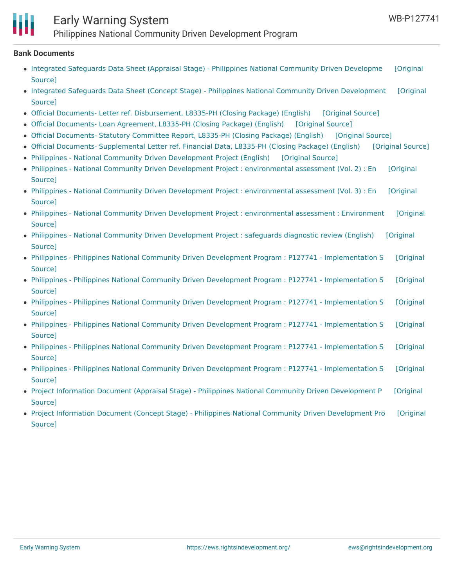## Early Warning System Philippines National Community Driven Development Program

#### **Bank Documents**

- Integrated Safeguards Data Sheet (Appraisal Stage) Philippines National [Community](https://ewsdata.rightsindevelopment.org/files/documents/41/WB-P127741_YdrspiU.pdf) Driven Developme [Original Source]
- Integrated Safeguards Data Sheet (Concept Stage) Philippines National Community Driven [Development](https://ewsdata.rightsindevelopment.org/files/documents/41/WB-P127741_OnSeJEd.pdf) [Original Source]
- Official Documents- Letter ref. [Disbursement,](https://ewsdata.rightsindevelopment.org/files/documents/41/WB-P127741_WSSKCKL.pdf) L8335-PH (Closing Package) (English) [\[Original](http://documents.worldbank.org/curated/en/833011468092948768/pdf/RAD459136639.pdf) Source]
- Official [Documents-](https://ewsdata.rightsindevelopment.org/files/documents/41/WB-P127741_jNNr79U.pdf) Loan Agreement, L8335-PH (Closing Package) (English) [\[Original](http://documents.worldbank.org/curated/en/513741468095980947/pdf/RAD1745136595.pdf) Source]
- Official [Documents-](https://ewsdata.rightsindevelopment.org/files/documents/41/WB-P127741_9lzt7ZZ.pdf) Statutory Committee Report, L8335-PH (Closing Package) (English) [\[Original](http://documents.worldbank.org/curated/en/640611468293712102/pdf/RAD660758372.pdf) Source]
- Official Documents- [Supplemental](https://ewsdata.rightsindevelopment.org/files/documents/41/WB-P127741_S9jAeCm.pdf) Letter ref. Financial Data, L8335-PH (Closing Package) (English) [\[Original](http://documents.worldbank.org/curated/en/132081468297539972/pdf/RAD400342244.pdf) Source]
- Philippines National Community Driven [Development](https://ewsdata.rightsindevelopment.org/files/documents/41/WB-P127741_sQWcrS0.pdf) Project (English) [\[Original](http://documents.worldbank.org/curated/en/516571468094769927/pdf/761750PAD0P1270IC0disclosed02030140.pdf) Source]
- Philippines National Community Driven Development Project : [environmental](http://documents.worldbank.org/curated/en/614871468092652785/pdf/E4169v20P127740090201300Box374381B0.pdf) assessment (Vol. 2) : En [Original Source]
- Philippines National Community Driven Development Project : [environmental](http://documents.worldbank.org/curated/en/433201468293422522/pdf/E4169v30Philip0210201300Box377316B0.pdf) assessment (Vol. 3) : En [Original Source]
- Philippines National Community Driven Development Project : [environmental](http://documents.worldbank.org/curated/en/136781468294669239/pdf/E41690Philipin00210201300Box374368B.pdf) assessment : Environment [Original Source]
- Philippines National Community Driven [Development](http://documents.worldbank.org/curated/en/295611468143989357/pdf/SR520Phlippine00090201300Box374381B.pdf) Project : safeguards diagnostic review (English) [Original Source]
- Philippines Philippines National Community Driven Development Program : P127741 [Implementation](http://documents.worldbank.org/curated/en/828191481581491354/pdf/ISR-Disclosable-P127741-12-12-2016-1481581476820.pdf) S [Original Source]
- Philippines Philippines National Community Driven Development Program : P127741 [Implementation](http://documents.worldbank.org/curated/en/319821468296947415/pdf/ISR-Disclosable-P127741-06-09-2016-1465527449435.pdf) S [Original Source]
- Philippines Philippines National Community Driven Development Program : P127741 [Implementation](http://documents.worldbank.org/curated/en/674431468296112052/pdf/ISR-Disclosable-P127741-12-09-2015-1449671513430.pdf) S [Original Source]
- Philippines Philippines National Community Driven Development Program : P127741 [Implementation](http://documents.worldbank.org/curated/en/554981468094781150/pdf/ISR-Disclosable-P127741-06-01-2015-1433178540879.pdf) S [Original Source]
- Philippines Philippines National Community Driven Development Program : P127741 [Implementation](http://documents.worldbank.org/curated/en/590031468333295895/pdf/ISR-Disclosable-P127741-12-04-2014-1417722169325.pdf) S [Original Source]
- Philippines Philippines National Community Driven Development Program : P127741 [Implementation](http://documents.worldbank.org/curated/en/750161468093558989/pdf/ISR-Disclosable-P127741-05-20-2014-1400583229732.pdf) S [Original Source]
- Project Information Document (Appraisal Stage) Philippines National Community Driven [Development](http://documents.worldbank.org/curated/en/422321468293374268/pdf/PID-Appraisal-Print-P127741-01-09-2014-1389328670452.pdf) P [Original Source]
- Project Information Document (Concept Stage) Philippines National Community Driven [Development](http://documents.worldbank.org/curated/en/402331468757816870/pdf/PID0Print0P12774100423201201335224707601.pdf) Pro [Original Source]